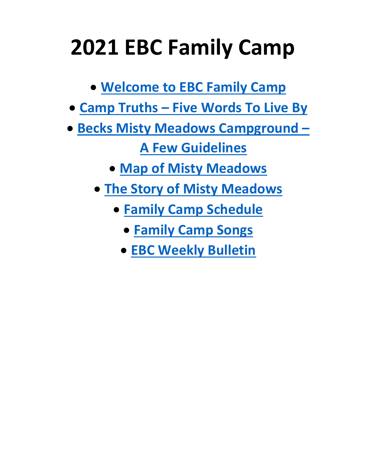# <span id="page-0-0"></span>**2021 EBC Family Camp**

- **[Welcome to EBC Family Camp](#page-1-0)**
- **Camp Truths – [Five Words To Live By](#page-1-1)**
- **[Becks Misty Meadows Campground](#page-2-0) –**

# **[A Few Guidelines](#page-2-0)**

- **[Map of Misty Meadows](#page-3-0)**
- **[The Story of Misty Meadows](#page-4-0)**
	- **[Family Camp Schedule](#page-5-0)**
		- **[Family Camp Songs](#page-6-0)**
		- **[EBC Weekly Bulletin](#page-30-0)**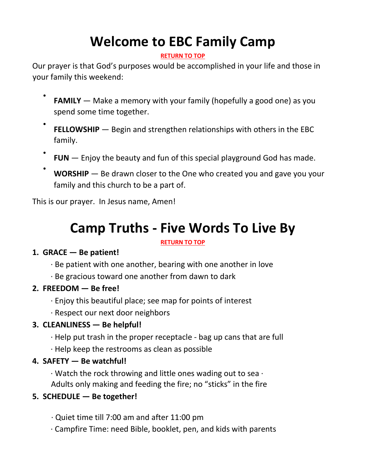# **Welcome to EBC Family Camp**

#### **[RETURN TO TOP](#page-0-0)**

<span id="page-1-0"></span>Our prayer is that God's purposes would be accomplished in your life and those in your family this weekend:

- **FAMILY** — Make a memory with your family (hopefully a good one) as you spend some time together.
- **FELLOWSHIP** — Begin and strengthen relationships with others in the EBC family.
- **FUN** — Enjoy the beauty and fun of this special playground God has made.
- **WORSHIP**  Be drawn closer to the One who created you and gave you your family and this church to be a part of.

This is our prayer. In Jesus name, Amen!

# **Camp Truths - Five Words To Live By**

**[RETURN TO TOP](#page-0-0)**

# <span id="page-1-1"></span>**1. GRACE — Be patient!**

- · Be patient with one another, bearing with one another in love
- · Be gracious toward one another from dawn to dark
- **2. FREEDOM — Be free!** 
	- · Enjoy this beautiful place; see map for points of interest
	- · Respect our next door neighbors

# **3. CLEANLINESS — Be helpful!**

- · Help put trash in the proper receptacle bag up cans that are full
- · Help keep the restrooms as clean as possible

# **4. SAFETY — Be watchful!**

 $\cdot$  Watch the rock throwing and little ones wading out to sea  $\cdot$ Adults only making and feeding the fire; no "sticks" in the fire

# **5. SCHEDULE — Be together!**

- · Quiet time till 7:00 am and after 11:00 pm
- · Campfire Time: need Bible, booklet, pen, and kids with parents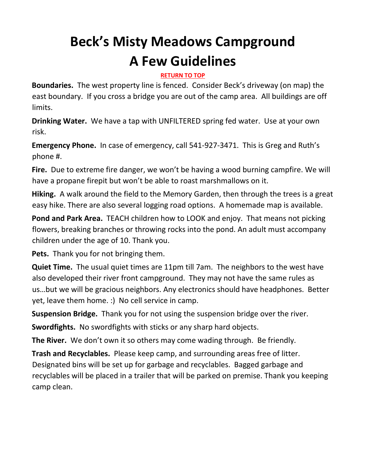# <span id="page-2-0"></span>**Beck's Misty Meadows Campground A Few Guidelines**

#### **[RETURN TO TOP](#page-0-0)**

**Boundaries.** The west property line is fenced. Consider Beck's driveway (on map) the east boundary. If you cross a bridge you are out of the camp area. All buildings are off limits.

**Drinking Water.** We have a tap with UNFILTERED spring fed water. Use at your own risk.

**Emergency Phone.** In case of emergency, call 541-927-3471. This is Greg and Ruth's phone #.

**Fire.** Due to extreme fire danger, we won't be having a wood burning campfire. We will have a propane firepit but won't be able to roast marshmallows on it.

**Hiking.** A walk around the field to the Memory Garden, then through the trees is a great easy hike. There are also several logging road options. A homemade map is available.

**Pond and Park Area.** TEACH children how to LOOK and enjoy. That means not picking flowers, breaking branches or throwing rocks into the pond. An adult must accompany children under the age of 10. Thank you.

**Pets.** Thank you for not bringing them.

**Quiet Time.** The usual quiet times are 11pm till 7am. The neighbors to the west have also developed their river front campground. They may not have the same rules as us…but we will be gracious neighbors. Any electronics should have headphones. Better yet, leave them home. :) No cell service in camp.

**Suspension Bridge.** Thank you for not using the suspension bridge over the river.

**Swordfights.** No swordfights with sticks or any sharp hard objects.

**The River.** We don't own it so others may come wading through. Be friendly.

**Trash and Recyclables.** Please keep camp, and surrounding areas free of litter. Designated bins will be set up for garbage and recyclables. Bagged garbage and recyclables will be placed in a trailer that will be parked on premise. Thank you keeping camp clean.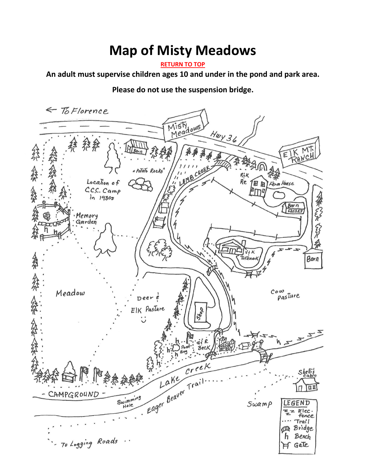# **Map of Misty Meadows**

**[RETURN TO TOP](#page-0-0)**

<span id="page-3-0"></span>**An adult must supervise children ages 10 and under in the pond and park area.** 

**Please do not use the suspension bridge.** 

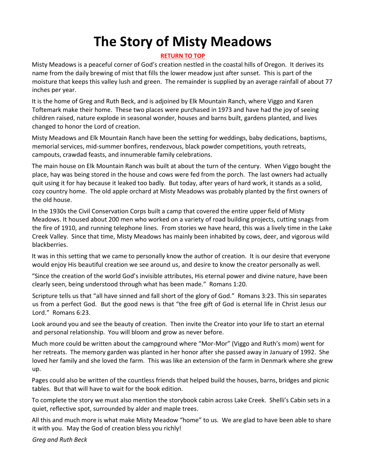# **The Story of Misty Meadows**

#### **[RETURN TO TOP](#page-0-0)**

<span id="page-4-0"></span>Misty Meadows is a peaceful corner of God's creation nestled in the coastal hills of Oregon. It derives its name from the daily brewing of mist that fills the lower meadow just after sunset. This is part of the moisture that keeps this valley lush and green. The remainder is supplied by an average rainfall of about 77 inches per year.

It is the home of Greg and Ruth Beck, and is adjoined by Elk Mountain Ranch, where Viggo and Karen Toftemark make their home. These two places were purchased in 1973 and have had the joy of seeing children raised, nature explode in seasonal wonder, houses and barns built, gardens planted, and lives changed to honor the Lord of creation.

Misty Meadows and Elk Mountain Ranch have been the setting for weddings, baby dedications, baptisms, memorial services, mid-summer bonfires, rendezvous, black powder competitions, youth retreats, campouts, crawdad feasts, and innumerable family celebrations.

The main house on Elk Mountain Ranch was built at about the turn of the century. When Viggo bought the place, hay was being stored in the house and cows were fed from the porch. The last owners had actually quit using it for hay because it leaked too badly. But today, after years of hard work, it stands as a solid, cozy country home. The old apple orchard at Misty Meadows was probably planted by the first owners of the old house.

In the 1930s the Civil Conservation Corps built a camp that covered the entire upper field of Misty Meadows. It housed about 200 men who worked on a variety of road building projects, cutting snags from the fire of 1910, and running telephone lines. From stories we have heard, this was a lively time in the Lake Creek Valley. Since that time, Misty Meadows has mainly been inhabited by cows, deer, and vigorous wild blackberries.

It was in this setting that we came to personally know the author of creation. It is our desire that everyone would enjoy His beautiful creation we see around us, and desire to know the creator personally as well.

"Since the creation of the world God's invisible attributes, His eternal power and divine nature, have been clearly seen, being understood through what has been made." Romans 1:20.

Scripture tells us that "all have sinned and fall short of the glory of God." Romans 3:23. This sin separates us from a perfect God. But the good news is that "the free gift of God is eternal life in Christ Jesus our Lord." Romans 6:23.

Look around you and see the beauty of creation. Then invite the Creator into your life to start an eternal and personal relationship. You will bloom and grow as never before.

Much more could be written about the campground where "Mor-Mor" (Viggo and Ruth's mom) went for her retreats. The memory garden was planted in her honor after she passed away in January of 1992. She loved her family and she loved the farm. This was like an extension of the farm in Denmark where she grew up.

Pages could also be written of the countless friends that helped build the houses, barns, bridges and picnic tables. But that will have to wait for the book edition.

To complete the story we must also mention the storybook cabin across Lake Creek. Shelli's Cabin sets in a quiet, reflective spot, surrounded by alder and maple trees.

All this and much more is what make Misty Meadow "home" to us. We are glad to have been able to share it with you. May the God of creation bless you richly!

*Greg and Ruth Beck*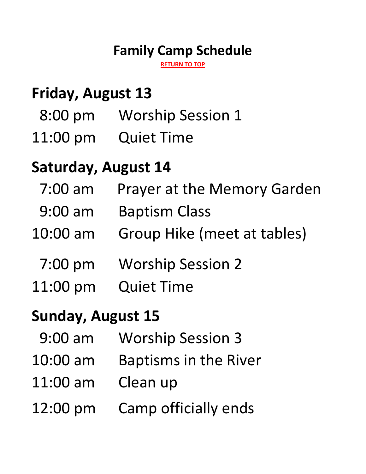# **Family Camp Schedule**

**[RETURN TO TOP](#page-0-0)**

# <span id="page-5-0"></span>**Friday, August 13**

- 8:00 pm Worship Session 1
- 11:00 pm Quiet Time

# **Saturday, August 14**

- 7:00 am Prayer at the Memory Garden
- 9:00 am Baptism Class
- 10:00 am Group Hike (meet at tables)
	- 7:00 pm Worship Session 2
- 11:00 pm Quiet Time

# **Sunday, August 15**

- 9:00 am Worship Session 3
- 10:00 am Baptisms in the River
- 11:00 am Clean up
- 12:00 pm Camp officially ends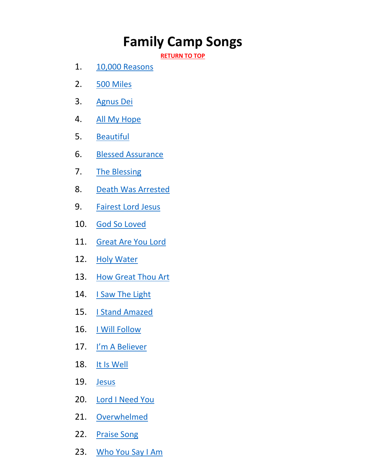# **Family Camp Songs**

**[RETURN TO TOP](#page-0-0)**

- <span id="page-6-0"></span>1. [10,000 Reasons](#page-7-0)
- 2. [500 Miles](#page-8-0)
- 3. [Agnus Dei](#page-9-0)
- 4. [All My Hope](#page-10-0)
- 5. [Beautiful](#page-11-0)
- 6. [Blessed Assurance](#page-12-0)
- 7. [The Blessing](#page-13-0)
- 8. [Death Was Arrested](#page-14-0)
- 9. [Fairest Lord Jesus](#page-15-0)
- 10. [God So Loved](#page-16-0)
- 11. [Great Are You Lord](#page-16-1)
- 12. Holy Water
- 13. How Great Thou Art
- 14. I Saw The Light
- 15. I Stand Amazed
- 16. [I Will Follow](#page-22-0)
- 17. I'm A Believer
- 18. [It Is Well](#page-24-0)
- 19. <u>Jesus</u>
- 20. [Lord I Need You](#page-26-0)
- 21. [Overwhelmed](#page-27-0)
- 22. [Praise Song](#page-28-0)
- 23. [Who You Say I Am](#page-29-0)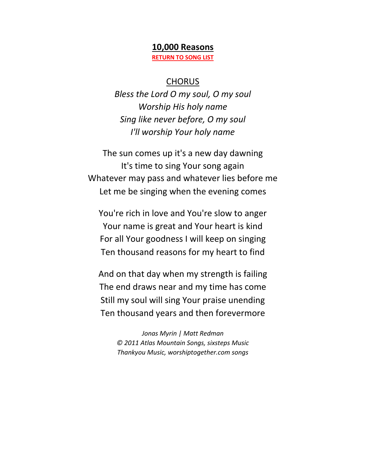#### **10,000 Reasons**

**[RETURN TO SONG](#page-6-0) LIST**

#### CHORUS

<span id="page-7-0"></span>*Bless the Lord O my soul, O my soul Worship His holy name Sing like never before, O my soul I'll worship Your holy name* 

The sun comes up it's a new day dawning It's time to sing Your song again Whatever may pass and whatever lies before me Let me be singing when the evening comes

You're rich in love and You're slow to anger Your name is great and Your heart is kind For all Your goodness I will keep on singing Ten thousand reasons for my heart to find

And on that day when my strength is failing The end draws near and my time has come Still my soul will sing Your praise unending Ten thousand years and then forevermore

> *Jonas Myrin | Matt Redman © 2011 Atlas Mountain Songs, sixsteps Music Thankyou Music, worshiptogether.com songs*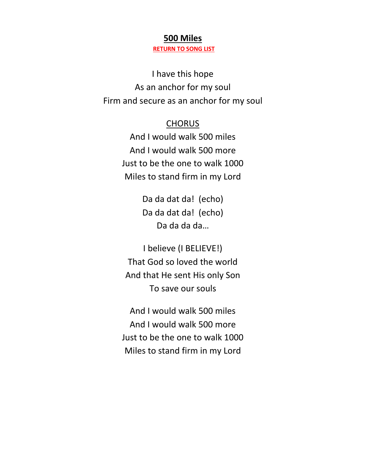#### **500 Miles**

**[RETURN TO SONG](#page-6-0) LIST**

<span id="page-8-0"></span>I have this hope As an anchor for my soul Firm and secure as an anchor for my soul

### **CHORUS**

And I would walk 500 miles And I would walk 500 more Just to be the one to walk 1000 Miles to stand firm in my Lord

> Da da dat da! (echo) Da da dat da! (echo) Da da da da...

I believe (I BELIEVE!) That God so loved the world And that He sent His only Son To save our souls

And I would walk 500 miles And I would walk 500 more Just to be the one to walk 1000 Miles to stand firm in my Lord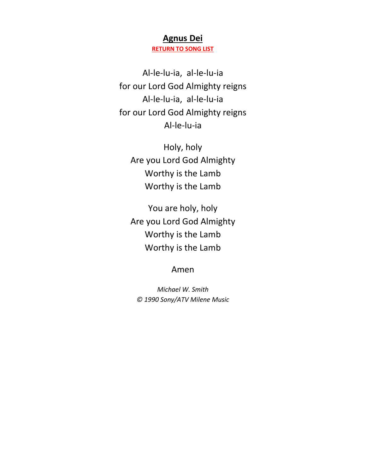#### **Agnus Dei**

**[RETURN TO SONG](#page-6-0) LIST**

<span id="page-9-0"></span>Al-le-lu-ia, al-le-lu-ia for our Lord God Almighty reigns Al-le-lu-ia, al-le-lu-ia for our Lord God Almighty reigns Al-le-lu-ia

Holy, holy Are you Lord God Almighty Worthy is the Lamb Worthy is the Lamb

You are holy, holy Are you Lord God Almighty Worthy is the Lamb Worthy is the Lamb

#### Amen

*Michael W. Smith © 1990 Sony/ATV Milene Music*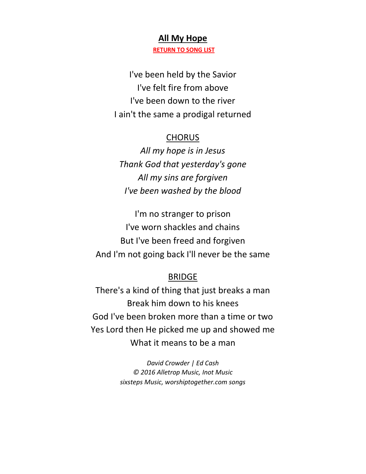#### **All My Hope**

**[RETURN TO SONG](#page-6-0) LIST**

<span id="page-10-0"></span>I've been held by the Savior I've felt fire from above I've been down to the river I ain't the same a prodigal returned

#### CHORUS

*All my hope is in Jesus Thank God that yesterday's gone All my sins are forgiven I've been washed by the blood* 

I'm no stranger to prison I've worn shackles and chains But I've been freed and forgiven And I'm not going back I'll never be the same

#### BRIDGE

There's a kind of thing that just breaks a man Break him down to his knees God I've been broken more than a time or two Yes Lord then He picked me up and showed me What it means to be a man

> *David Crowder | Ed Cash © 2016 Alletrop Music, Inot Music sixsteps Music, worshiptogether.com songs*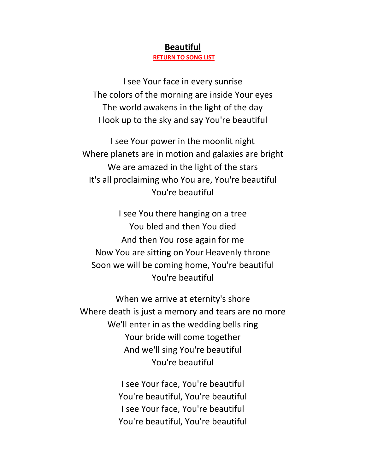#### **Beautiful**

**[RETURN TO SONG](#page-6-0) LIST**

<span id="page-11-0"></span>I see Your face in every sunrise The colors of the morning are inside Your eyes The world awakens in the light of the day I look up to the sky and say You're beautiful

I see Your power in the moonlit night Where planets are in motion and galaxies are bright We are amazed in the light of the stars It's all proclaiming who You are, You're beautiful You're beautiful

I see You there hanging on a tree You bled and then You died And then You rose again for me Now You are sitting on Your Heavenly throne Soon we will be coming home, You're beautiful You're beautiful

When we arrive at eternity's shore Where death is just a memory and tears are no more We'll enter in as the wedding bells ring Your bride will come together And we'll sing You're beautiful You're beautiful

> I see Your face, You're beautiful You're beautiful, You're beautiful I see Your face, You're beautiful You're beautiful, You're beautiful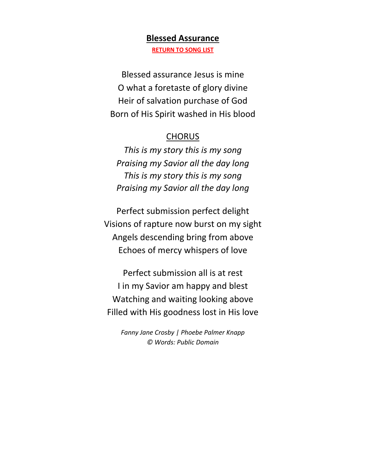#### **Blessed Assurance**

**[RETURN TO SONG](#page-6-0) LIST**

<span id="page-12-0"></span>Blessed assurance Jesus is mine O what a foretaste of glory divine Heir of salvation purchase of God Born of His Spirit washed in His blood

#### **CHORUS**

*This is my story this is my song Praising my Savior all the day long This is my story this is my song Praising my Savior all the day long* 

Perfect submission perfect delight Visions of rapture now burst on my sight Angels descending bring from above Echoes of mercy whispers of love

Perfect submission all is at rest I in my Savior am happy and blest Watching and waiting looking above Filled with His goodness lost in His love

*Fanny Jane Crosby | Phoebe Palmer Knapp © Words: Public Domain*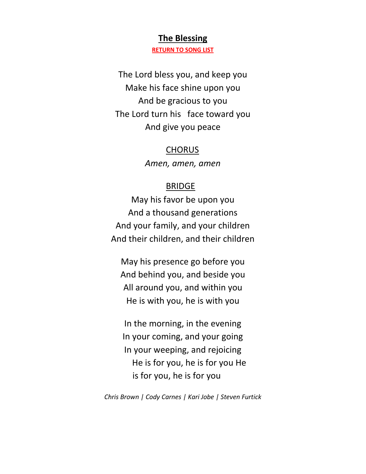#### **The Blessing**

**[RETURN TO SONG](#page-6-0) LIST**

<span id="page-13-0"></span>The Lord bless you, and keep you Make his face shine upon you And be gracious to you The Lord turn his face toward you And give you peace

> **CHORUS** *Amen, amen, amen*

#### BRIDGE

May his favor be upon you And a thousand generations And your family, and your children And their children, and their children

May his presence go before you And behind you, and beside you All around you, and within you He is with you, he is with you

In the morning, in the evening In your coming, and your going In your weeping, and rejoicing He is for you, he is for you He is for you, he is for you

*Chris Brown | Cody Carnes | Kari Jobe | Steven Furtick*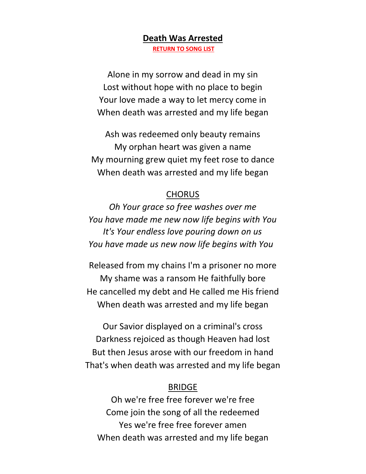# **Death Was Arrested**

**[RETURN TO SONG](#page-6-0) LIST**

<span id="page-14-0"></span>Alone in my sorrow and dead in my sin Lost without hope with no place to begin Your love made a way to let mercy come in When death was arrested and my life began

Ash was redeemed only beauty remains My orphan heart was given a name My mourning grew quiet my feet rose to dance When death was arrested and my life began

# **CHORUS**

*Oh Your grace so free washes over me You have made me new now life begins with You It's Your endless love pouring down on us You have made us new now life begins with You* 

Released from my chains I'm a prisoner no more My shame was a ransom He faithfully bore He cancelled my debt and He called me His friend When death was arrested and my life began

Our Savior displayed on a criminal's cross Darkness rejoiced as though Heaven had lost But then Jesus arose with our freedom in hand That's when death was arrested and my life began

# BRIDGE

Oh we're free free forever we're free Come join the song of all the redeemed Yes we're free free forever amen When death was arrested and my life began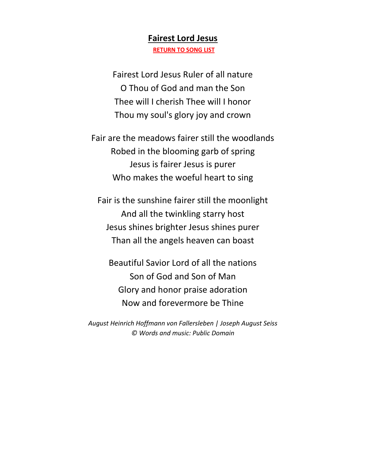#### **Fairest Lord Jesus**

**[RETURN TO SONG](#page-6-0) LIST**

<span id="page-15-0"></span>Fairest Lord Jesus Ruler of all nature O Thou of God and man the Son Thee will I cherish Thee will I honor Thou my soul's glory joy and crown

Fair are the meadows fairer still the woodlands Robed in the blooming garb of spring Jesus is fairer Jesus is purer Who makes the woeful heart to sing

Fair is the sunshine fairer still the moonlight And all the twinkling starry host Jesus shines brighter Jesus shines purer Than all the angels heaven can boast

Beautiful Savior Lord of all the nations Son of God and Son of Man Glory and honor praise adoration Now and forevermore be Thine

*August Heinrich Hoffmann von Fallersleben | Joseph August Seiss © Words and music: Public Domain*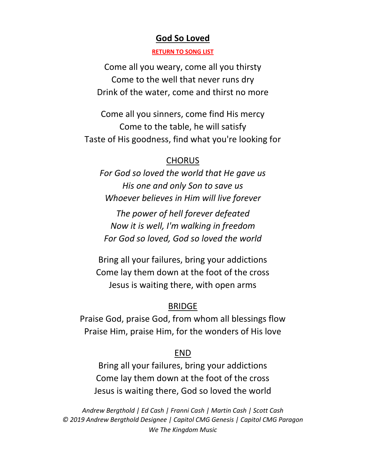### **God So Loved**

#### **[RETURN TO SONG](#page-6-0) LIST**

<span id="page-16-0"></span>Come all you weary, come all you thirsty Come to the well that never runs dry Drink of the water, come and thirst no more

Come all you sinners, come find His mercy Come to the table, he will satisfy Taste of His goodness, find what you're looking for

# CHORUS

*For God so loved the world that He gave us His one and only Son to save us Whoever believes in Him will live forever The power of hell forever defeated* 

*Now it is well, I'm walking in freedom For God so loved, God so loved the world* 

Bring all your failures, bring your addictions Come lay them down at the foot of the cross Jesus is waiting there, with open arms

#### BRIDGE

Praise God, praise God, from whom all blessings flow Praise Him, praise Him, for the wonders of His love

### END

Bring all your failures, bring your addictions Come lay them down at the foot of the cross Jesus is waiting there, God so loved the world

<span id="page-16-1"></span>*Andrew Bergthold | Ed Cash | Franni Cash | Martin Cash | Scott Cash © 2019 Andrew Bergthold Designee | Capitol CMG Genesis | Capitol CMG Paragon We The Kingdom Music*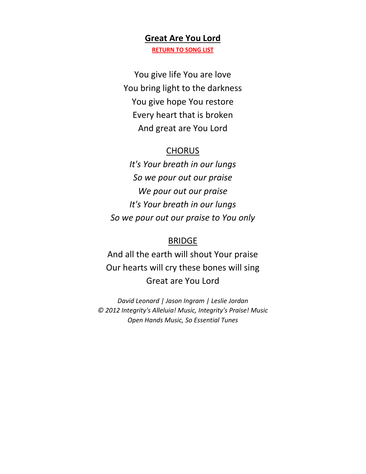#### **Great Are You Lord**

**[RETURN TO SONG](#page-6-0) LIST**

You give life You are love You bring light to the darkness You give hope You restore Every heart that is broken And great are You Lord

#### **CHORUS**

*It's Your breath in our lungs So we pour out our praise We pour out our praise It's Your breath in our lungs So we pour out our praise to You only* 

### BRIDGE

And all the earth will shout Your praise Our hearts will cry these bones will sing Great are You Lord

*David Leonard | Jason Ingram | Leslie Jordan © 2012 Integrity's Alleluia! Music, Integrity's Praise! Music Open Hands Music, So Essential Tunes*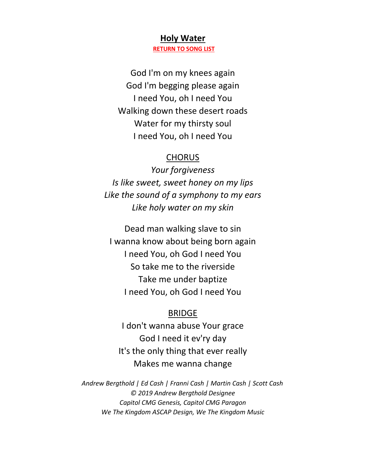#### **Holy Water**

**[RETURN TO SONG](#page-6-0) LIST**

<span id="page-18-0"></span>God I'm on my knees again God I'm begging please again I need You, oh I need You Walking down these desert roads Water for my thirsty soul I need You, oh I need You

#### **CHORUS**

*Your forgiveness Is like sweet, sweet honey on my lips Like the sound of a symphony to my ears Like holy water on my skin* 

Dead man walking slave to sin I wanna know about being born again I need You, oh God I need You So take me to the riverside Take me under baptize I need You, oh God I need You

#### BRIDGE

I don't wanna abuse Your grace God I need it ev'ry day It's the only thing that ever really Makes me wanna change

*Andrew Bergthold | Ed Cash | Franni Cash | Martin Cash | Scott Cash © 2019 Andrew Bergthold Designee Capitol CMG Genesis, Capitol CMG Paragon We The Kingdom ASCAP Design, We The Kingdom Music*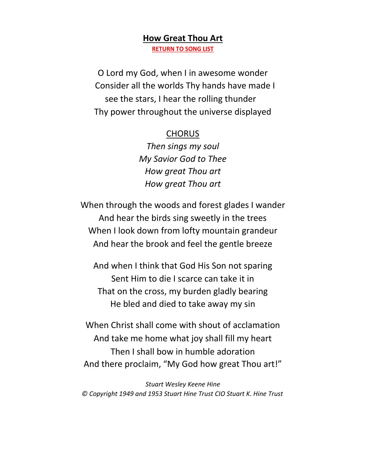#### **How Great Thou Art [RETURN TO SONG](#page-6-0) LIST**

<span id="page-19-0"></span>O Lord my God, when I in awesome wonder Consider all the worlds Thy hands have made I see the stars, I hear the rolling thunder Thy power throughout the universe displayed

### **CHORUS**

*Then sings my soul My Savior God to Thee How great Thou art How great Thou art* 

When through the woods and forest glades I wander And hear the birds sing sweetly in the trees When I look down from lofty mountain grandeur And hear the brook and feel the gentle breeze

And when I think that God His Son not sparing Sent Him to die I scarce can take it in That on the cross, my burden gladly bearing He bled and died to take away my sin

When Christ shall come with shout of acclamation And take me home what joy shall fill my heart Then I shall bow in humble adoration And there proclaim, "My God how great Thou art!"

*Stuart Wesley Keene Hine © Copyright 1949 and 1953 Stuart Hine Trust CIO Stuart K. Hine Trust*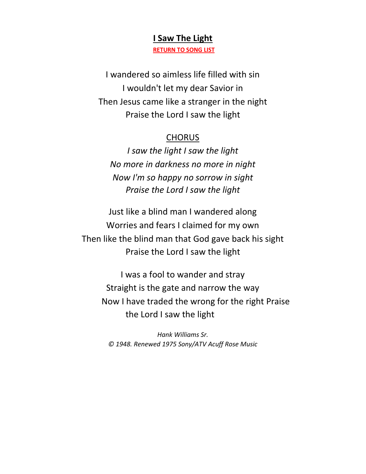#### **I Saw The Light**

**[RETURN TO SONG](#page-6-0) LIST**

<span id="page-20-0"></span>I wandered so aimless life filled with sin I wouldn't let my dear Savior in Then Jesus came like a stranger in the night Praise the Lord I saw the light

### CHORUS

*I saw the light I saw the light No more in darkness no more in night Now I'm so happy no sorrow in sight Praise the Lord I saw the light* 

Just like a blind man I wandered along Worries and fears I claimed for my own Then like the blind man that God gave back his sight Praise the Lord I saw the light

I was a fool to wander and stray Straight is the gate and narrow the way Now I have traded the wrong for the right Praise the Lord I saw the light

*Hank Williams Sr. © 1948. Renewed 1975 Sony/ATV Acuff Rose Music*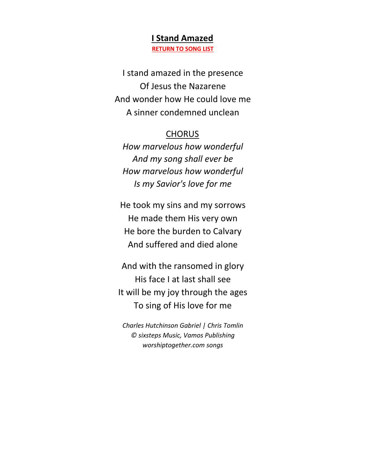# **I Stand Amazed**

**[RETURN TO SONG](#page-6-0) LIST**

<span id="page-21-0"></span>I stand amazed in the presence Of Jesus the Nazarene And wonder how He could love me A sinner condemned unclean

### **CHORUS**

*How marvelous how wonderful And my song shall ever be How marvelous how wonderful Is my Savior's love for me* 

He took my sins and my sorrows He made them His very own He bore the burden to Calvary And suffered and died alone

And with the ransomed in glory His face I at last shall see It will be my joy through the ages To sing of His love for me

*Charles Hutchinson Gabriel | Chris Tomlin © sixsteps Music, Vamos Publishing worshiptogether.com songs*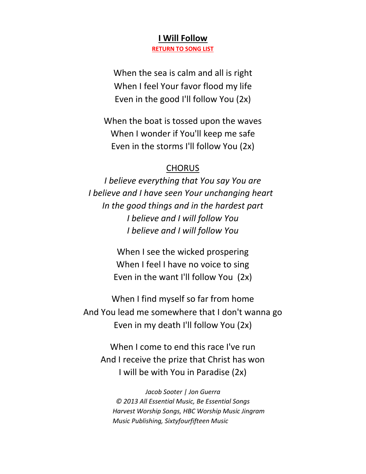#### **I Will Follow**

**[RETURN TO SONG](#page-6-0) LIST**

<span id="page-22-0"></span>When the sea is calm and all is right When I feel Your favor flood my life Even in the good I'll follow You (2x)

When the boat is tossed upon the waves When I wonder if You'll keep me safe Even in the storms I'll follow You (2x)

### **CHORUS**

*I believe everything that You say You are I believe and I have seen Your unchanging heart In the good things and in the hardest part I believe and I will follow You I believe and I will follow You* 

> When I see the wicked prospering When I feel I have no voice to sing Even in the want I'll follow You (2x)

When I find myself so far from home And You lead me somewhere that I don't wanna go Even in my death I'll follow You (2x)

When I come to end this race I've run And I receive the prize that Christ has won I will be with You in Paradise (2x)

*Jacob Sooter | Jon Guerra © 2013 All Essential Music, Be Essential Songs Harvest Worship Songs, HBC Worship Music Jingram Music Publishing, Sixtyfourfifteen Music*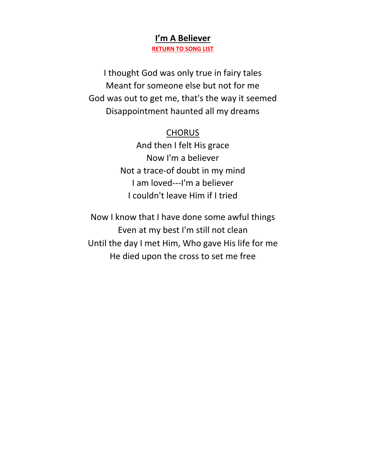# **I'm A Believer**

**[RETURN TO SONG](#page-6-0) LIST**

<span id="page-23-0"></span>I thought God was only true in fairy tales Meant for someone else but not for me God was out to get me, that's the way it seemed Disappointment haunted all my dreams

# **CHORUS**

And then I felt His grace Now I'm a believer Not a trace-of doubt in my mind I am loved---I'm a believer I couldn't leave Him if I tried

Now I know that I have done some awful things Even at my best I'm still not clean Until the day I met Him, Who gave His life for me He died upon the cross to set me free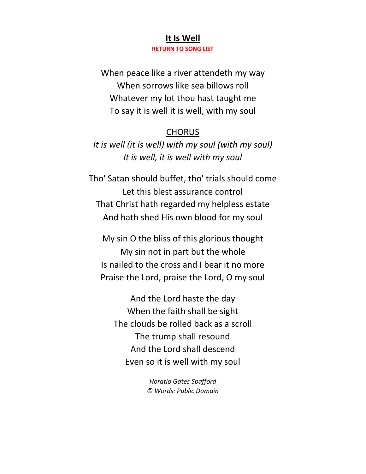#### **It Is Well**

**[RETURN TO SONG](#page-6-0) LIST**

<span id="page-24-0"></span>When peace like a river attendeth my way When sorrows like sea billows roll Whatever my lot thou hast taught me To say it is well it is well, with my soul

# **CHORUS**

*It is well (it is well) with my soul (with my soul) It is well, it is well with my soul* 

Tho' Satan should buffet, tho' trials should come Let this blest assurance control That Christ hath regarded my helpless estate And hath shed His own blood for my soul

My sin O the bliss of this glorious thought My sin not in part but the whole Is nailed to the cross and I bear it no more Praise the Lord, praise the Lord, O my soul

And the Lord haste the day When the faith shall be sight The clouds be rolled back as a scroll The trump shall resound And the Lord shall descend Even so it is well with my soul

> *Horatio Gates Spafford © Words: Public Domain*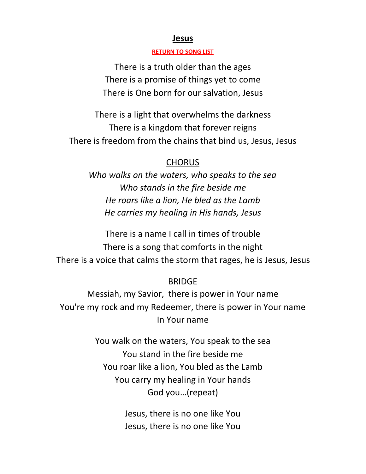#### **Jesus**

#### **[RETURN TO SONG](#page-6-0) LIST**

<span id="page-25-0"></span>There is a truth older than the ages There is a promise of things yet to come There is One born for our salvation, Jesus

There is a light that overwhelms the darkness There is a kingdom that forever reigns There is freedom from the chains that bind us, Jesus, Jesus

### **CHORUS**

*Who walks on the waters, who speaks to the sea Who stands in the fire beside me He roars like a lion, He bled as the Lamb He carries my healing in His hands, Jesus* 

There is a name I call in times of trouble There is a song that comforts in the night There is a voice that calms the storm that rages, he is Jesus, Jesus

### BRIDGE

Messiah, my Savior, there is power in Your name You're my rock and my Redeemer, there is power in Your name In Your name

> You walk on the waters, You speak to the sea You stand in the fire beside me You roar like a lion, You bled as the Lamb You carry my healing in Your hands God you…(repeat)

> > Jesus, there is no one like You Jesus, there is no one like You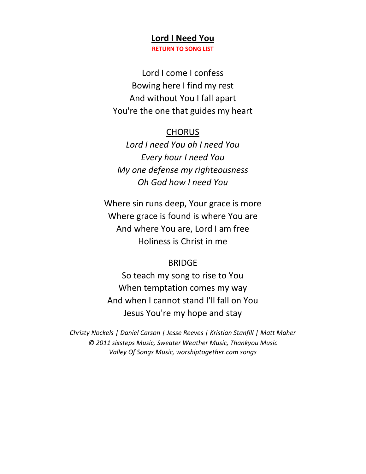# **Lord I Need You**

**[RETURN TO SONG](#page-6-0) LIST**

<span id="page-26-0"></span>Lord I come I confess Bowing here I find my rest And without You I fall apart You're the one that guides my heart

# CHORUS

*Lord I need You oh I need You Every hour I need You My one defense my righteousness Oh God how I need You* 

Where sin runs deep, Your grace is more Where grace is found is where You are And where You are, Lord I am free Holiness is Christ in me

# BRIDGE

So teach my song to rise to You When temptation comes my way And when I cannot stand I'll fall on You Jesus You're my hope and stay

*Christy Nockels | Daniel Carson | Jesse Reeves | Kristian Stanfill | Matt Maher © 2011 sixsteps Music, Sweater Weather Music, Thankyou Music Valley Of Songs Music, worshiptogether.com songs*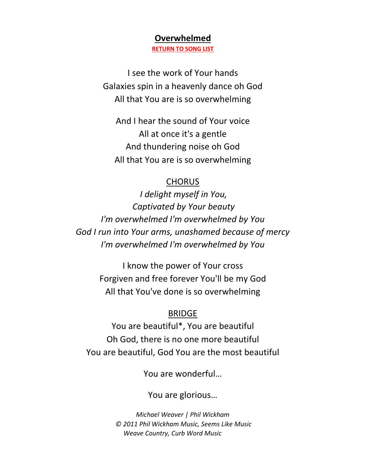# **Overwhelmed**

**[RETURN TO SONG](#page-6-0) LIST**

<span id="page-27-0"></span>I see the work of Your hands Galaxies spin in a heavenly dance oh God All that You are is so overwhelming

And I hear the sound of Your voice All at once it's a gentle And thundering noise oh God All that You are is so overwhelming

### **CHORUS**

*I delight myself in You, Captivated by Your beauty I'm overwhelmed I'm overwhelmed by You God I run into Your arms, unashamed because of mercy I'm overwhelmed I'm overwhelmed by You* 

> I know the power of Your cross Forgiven and free forever You'll be my God All that You've done is so overwhelming

# BRIDGE

You are beautiful\*, You are beautiful Oh God, there is no one more beautiful You are beautiful, God You are the most beautiful

You are wonderful…

You are glorious…

*Michael Weaver | Phil Wickham © 2011 Phil Wickham Music, Seems Like Music Weave Country, Curb Word Music*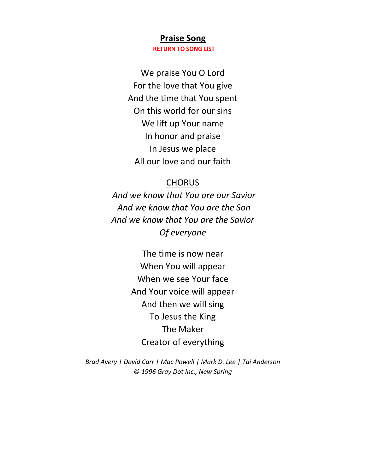#### **Praise Song**

**[RETURN TO SONG](#page-6-0) LIST**

<span id="page-28-0"></span>We praise You O Lord For the love that You give And the time that You spent On this world for our sins We lift up Your name In honor and praise In Jesus we place All our love and our faith

### **CHORUS**

*And we know that You are our Savior And we know that You are the Son And we know that You are the Savior Of everyone* 

> The time is now near When You will appear When we see Your face And Your voice will appear And then we will sing To Jesus the King The Maker Creator of everything

*Brad Avery | David Carr | Mac Powell | Mark D. Lee | Tai Anderson © 1996 Gray Dot Inc., New Spring*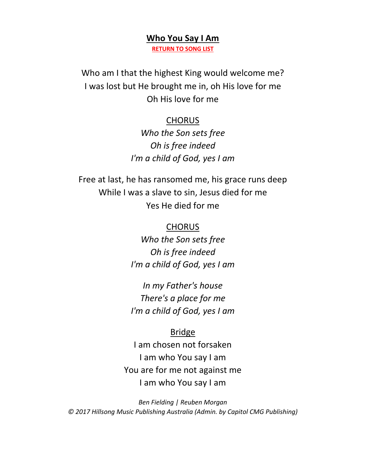#### **Who You Say I Am [RETURN TO SONG](#page-6-0) LIST**

<span id="page-29-0"></span>Who am I that the highest King would welcome me? I was lost but He brought me in, oh His love for me Oh His love for me

# CHORUS

*Who the Son sets free Oh is free indeed I'm a child of God, yes I am* 

Free at last, he has ransomed me, his grace runs deep While I was a slave to sin, Jesus died for me Yes He died for me

# **CHORUS**

*Who the Son sets free Oh is free indeed I'm a child of God, yes I am* 

*In my Father's house There's a place for me I'm a child of God, yes I am* 

# Bridge

I am chosen not forsaken I am who You say I am You are for me not against me I am who You say I am

*Ben Fielding | Reuben Morgan © 2017 Hillsong Music Publishing Australia (Admin. by Capitol CMG Publishing)*